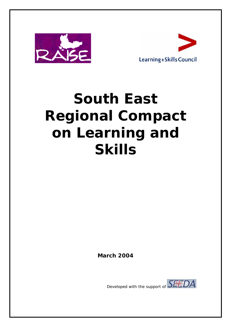



# **South East Regional Compact on Learning and Skills**

*March 2004* 

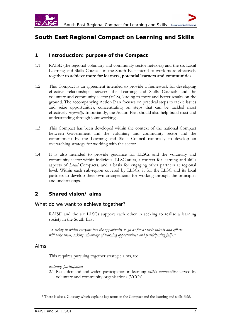

## **South East Regional Compact on Learning and Skills**

## **1 Introduction: purpose of the Compact**

- 1.1 RAISE (the regional voluntary and community sector network) and the six Local Learning and Skills Councils in the South East intend to work more effectively together **to achieve more for learners, potential learners and communities**.
- 1.2 This Compact is an agreement intended to provide a framework for developing effective relationships between the Learning and Skills Councils and the voluntary and community sector (VCS), leading to more and better results on the ground. The accompanying Action Plan focuses on practical steps to tackle issues and seize opportunities, concentrating on steps that can be tackled most effectively *regionally*. Importantly, the Action Plan should also help build trust and understanding through joint working<sup>1</sup>.
- 1.3 This Compact has been developed within the context of the national Compact between Government and the voluntary and community sector and the commitment by the Learning and Skills Council nationally to develop an overarching strategy for working with the sector.
- 1.4 It is also intended to provide guidance for LLSCs and the voluntary and community sector within individual LLSC areas, a context for learning and skills aspects of *Local* Compacts, and a basis for engaging other partners at regional level. Within each sub-region covered by LLSCs, it for the LLSC and its local partners to develop their own arrangements for working through the principles and undertakings.

## **2 Shared vision/ aims**

## *What do we want to achieve together?*

RAISE and the six LLSCs support each other in seeking to realise a learning society in the South East:

*"a society in which everyone has the opportunity to go as far as their talents and efforts will take them, taking advantage of learning opportunities and participating fully."* 

## *Aims*

This requires pursuing together strategic aims, to:

#### *widening participation*

2.1 Raise demand and widen participation in learning *within communities* served by voluntary and community organisations (VCOs)

 <sup>1</sup> There is also a Glossary which explains key terms in the Compact and the learning and skills field.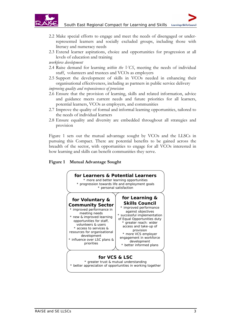

- 2.2 Make special efforts to engage and meet the needs of disengaged or underrepresented learners and socially excluded groups, including those with literacy and numeracy needs
- 2.3 Extend learner aspirations, choice and opportunities for progression at all levels of education and training

*workforce development* 

- 2.4 Raise demand for learning *within the VCS*, meeting the needs of individual staff, volunteers and trustees and VCOs as employers
- 2.5 Support the development of skills in VCOs needed in enhancing their organisational effectiveness, including as partners in public service delivery

*improving quality and responsiveness of provision* 

- 2.6 Ensure that the provision of learning, skills and related information, advice and guidance meets current needs and future priorities for all learners, potential learners, VCOs as employers, and communities
- 2.7 Improve the quality of formal and informal learning opportunities, tailored to the needs of individual learners
- 2.8 Ensure equality and diversity are embedded throughout all strategies and provision

Figure 1 sets out the mutual advantage sought by VCOs and the LLSCs in pursuing this Compact. There are potential benefits to be gained across the breadth of the sector, with opportunities to engage for all VCOs interested in how learning and skills can benefit communities they serve.

## **Figure 1 Mutual Advantage Sought**

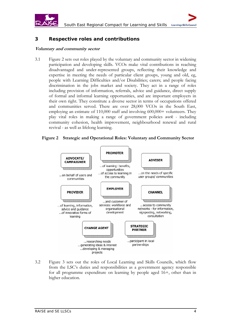

## **3 Respective roles and contributions**

#### **Voluntary and community sector**

3.1 Figure 2 sets out roles played by the voluntary and community sector in widening participation and developing skills. VCOs make vital contributions in reaching disadvantaged and under-represented groups, reflecting their knowledge and expertise in meeting the needs of particular client groups, young and old, eg, people with Learning Difficulties and/or Disabilities; carers; and people facing discrimination in the jobs market and society. They act in a range of roles including provision of information, referrals, advice and guidance, direct supply of formal and informal learning opportunities, and are important employers in their own right. They constitute a diverse sector in terms of occupations offered and communities served. There are over 28,000 VCOs in the South East, employing an estimate of 110,000 staff and involving 600,000+ volunteers. They play vital roles in making a range of government policies *work* - including community cohesion, health improvement, neighbourhood renewal and rural revival - as well as lifelong learning.

#### **Figure 2 Strategic and Operational Roles: Voluntary and Community Sector**



3.2 Figure 3 sets out the roles of Local Learning and Skills Councils, which flow from the LSC's duties and responsibilities as a government agency responsible for all programme expenditure on learning by people aged 16+, other than in higher education.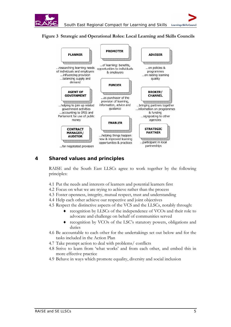





## **4 Shared values and principles**

 RAISE and the South East LLSCs agree to work together by the following principles:

- 4.1 Put the needs and interests of learners and potential learners first
- 4.2 Focus on what we are trying to achieve rather than the process
- 4.3 Foster openness, integrity, mutual respect, trust and understanding
- 4.4 Help each other achieve our respective and joint objectives
- 4.5 Respect the distinctive aspects of the VCS and the LLSCs, notably through:
	- recognition by LLSCs of the independence of VCOs and their role to advocate and challenge on behalf of communities served
	- recognition by VCOs of the LSC's statutory powers, obligations and duties
- 4.6 Be accountable to each other for the undertakings set out below and for the tasks included in the Action Plan
- 4.7 Take prompt action to deal with problems/ conflicts
- 4.8 Strive to learn from 'what works' and from each other, and embed this in more effective practice
- 4.9 Behave in ways which promote equality, diversity and social inclusion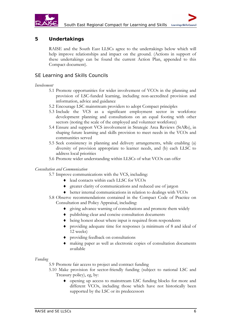

## **5 Undertakings**

RAISE and the South East LLSCs agree to the undertakings below which will help improve relationships and impact on the ground. (Actions in support of these undertakings can be found the current Action Plan, appended to this Compact document).

## *SE Learning and Skills Councils*

#### *Involvement*

- 5.1 Promote opportunities for wider involvement of VCOs in the planning and provision of LSC-funded learning, including non-accredited provision and information, advice and guidance
- 5.2 Encourage LSC mainstream providers to adopt Compact principles
- 5.3 Include the VCS as a significant employment sector in workforce development planning and consultations on an equal footing with other sectors (noting the scale of the employed and volunteer workforce)
- 5.4 Ensure and support VCS involvement in Strategic Area Reviews (StARs), in shaping future learning and skills provision to meet needs in the VCOs and communities served
- 5.5 Seek consistency in planning and delivery arrangements, while enabling (a) diversity of provision appropriate to learner needs, and (b) each LLSC to address local priorities
- 5.6 Promote wider understanding within LLSCs of what VCOs can offer

#### *Consultation and Communication*

- 5.7 Improve communications with the VCS, including:
	- ♦ lead contacts within each LLSC for VCOs
	- ♦ greater clarity of communications and reduced use of jargon
	- ♦ better internal communications in relation to dealings with VCOs
- 5.8 Observe recommendations contained in the Compact Code of Practice on Consultation and Policy Appraisal, including:
	- ♦ giving advance warning of consultations and promote them widely
	- ♦ publishing clear and concise consultation documents
	- ♦ being honest about where input is required from respondents
	- ♦ providing adequate time for responses (a minimum of 8 and ideal of 12 weeks)
	- ♦ providing feedback on consultations
	- making paper as well as electronic copies of consultation documents available

#### *Funding*

- 5.9 Promote fair access to project and contract funding
- 5.10 Make provision for sector-friendly funding (subject to national LSC and Treasury policy), eg, by:
	- ♦ opening up access to mainstream LSC funding blocks for more and different VCOs, including those which have not historically been supported by the LSC or its predecessors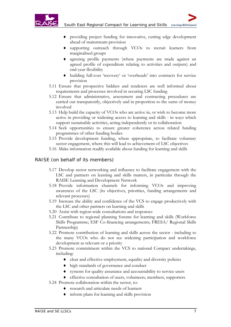

- providing project funding for innovative, cutting edge development ahead of mainstream provision
- supporting outreach through VCOs to recruit learners from marginalised groups
- agreeing profile payments (where payments are made against an agreed profile of expenditure relating to activities and outputs) and end-year flexibility
- ♦ building full-cost 'recovery' or 'overheads' into contracts for service provision
- 5.11 Ensure that prospective bidders and tenderers are well informed about requirements and processes involved in securing LSC funding
- 5.12 Ensure that administrative, assessment and contracting procedures are carried out transparently, objectively and in proportion to the sums of money involved
- 5.13 Help build the capacity of VCOs who are active in, or wish to become more active in providing or widening access to learning and skills - in ways which support sustainable activities, acting independently or in collaboration
- 5.14 Seek opportunities to ensure greater coherence across related funding programmes of other funding bodies
- 5.15 Provide development funding, where appropriate, to facilitate voluntary sector engagement, where this will lead to achievement of LSC objectives
- 5.16 Make information readily available about funding for learning and skills

## *RAISE (on behalf of its members)*

- 5.17 Develop sector networking and influence to facilitate engagement with the LSC and partners on learning and skills matters, in particular through the RAISE Learning and Development Network
- 5.18 Provide information channels for informing VCOs and improving awareness of the LSC (its objectives, priorities, funding arrangements and relevant processes)
- 5.19 Increase the ability and confidence of the VCS to engage productively with the LSC and other partners on learning and skills
- 5.20 Assist with region-wide consultations and responses
- 5.21 Contribute to regional planning forums for learning and skills (Workforce Skills Programme; ESF Co-financing arrangements; FRESA/ Regional Skills Partnership)
- 5.22 Promote contribution of learning and skills across the sector including to the many VCOs who do not see widening participation and workforce development as relevant or a priority
- 5.23 Promote commitment within the VCS to national Compact undertakings, including:
	- ♦ clear and effective employment, equality and diversity policies
	- ♦ high standards of governance and conduct
	- ♦ systems for quality assurance and accountability to service users
	- ♦ effective consultation of users, volunteers, members, supporters
- 5.24 Promote collaboration within the sector, to:
	- ♦ research and articulate needs of learners
	- ♦ inform plans for learning and skills provision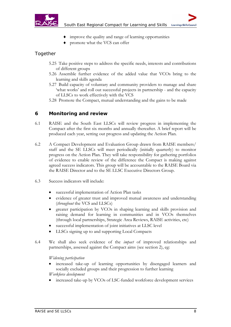

- improve the quality and range of learning opportunities
- promote what the VCS can offer

## *Together*

- 5.25 Take positive steps to address the specific needs, interests and contributions of different groups
- 5.26 Assemble further evidence of the added value that VCOs bring to the learning and skills agenda
- 5.27 Build capacity of voluntary and community providers to manage and share 'what works' and roll out successful projects in partnership - and the capacity of LLSCs to work effectively with the VCS
- 5.28 Promote the Compact, mutual understanding and the gains to be made

## **6 Monitoring and review**

- 6.1 RAISE and the South East LLSCs will review progress in implementing the Compact after the first six months and annually thereafter. A brief report will be produced each year, setting out progress and updating the Action Plan.
- 6.2 A Compact Development and Evaluation Group drawn from RAISE members/ staff and the SE LLSCs will meet periodically (initially quarterly) to monitor progress on the Action Plan. They will take responsibility for gathering portfolios of evidence to enable review of the difference the Compact is making against agreed success indicators. This group will be accountable to the RAISE Board via the RAISE Director and to the SE LLSC Executive Directors Group.
- 6.3 Success indicators will include:
	- successful implementation of Action Plan tasks
	- evidence of greater trust and improved mutual awareness and understanding (*throughout* the VCS and LLSCs)
	- greater participation by VCOs in shaping learning and skills provision and raising demand for learning in communities and in VCOs themselves (through local partnerships, Strategic Area Reviews, RAISE activities, etc)
	- successful implementation of joint initiatives at LLSC level
	- LLSCs signing up to and supporting Local Compacts
- 6.4 We shall also seek evidence of the *impact* of improved relationships and partnerships, assessed against the Compact aims (see section 2), eg:

*Widening participation* 

- increased take-up of learning opportunities by disengaged learners and socially excluded groups and their progression to further learning *Workforce development*
- increased take-up by VCOs of LSC-funded workforce development services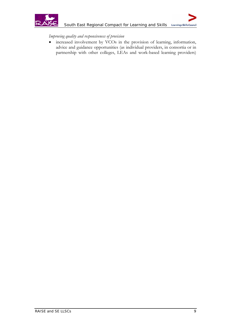

*Improving quality and responsiveness of provision* 

• increased involvement by VCOs in the provision of learning, information, advice and guidance opportunities (as individual providers, in consortia or in partnership with other colleges, LEAs and work-based learning providers)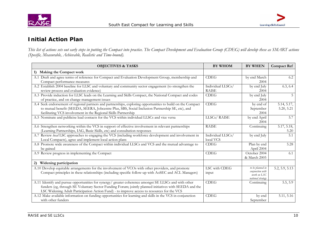



## **Initial Action Plan**

*This list of actions sets out early steps in putting the Compact into practice. The Compact Development and Evaluation Group (CDEG) will develop these as SMART actions (Specific, Measurable, Achievable, Realistic and Time-bound).* 

| <b>OBJECTIVES &amp; TASKS</b>                                                                                                                                                                                                                                                                                 | <b>BY WHOM</b>                    | <b>BY WHEN</b>                                                           | <b>Compact Ref</b>        |
|---------------------------------------------------------------------------------------------------------------------------------------------------------------------------------------------------------------------------------------------------------------------------------------------------------------|-----------------------------------|--------------------------------------------------------------------------|---------------------------|
| Making the Compact work<br>1)                                                                                                                                                                                                                                                                                 |                                   |                                                                          |                           |
| A.1 Draft and agree terms of reference for Compact and Evaluation Development Group, membership and<br>Compact performance measures                                                                                                                                                                           | <b>CDEG</b>                       | by end March<br>2004                                                     | 6.2                       |
| A.2 Establish 2004 baseline for LLSC and voluntary and community sector engagement (to strengthen the<br>review process and evaluation evidence)                                                                                                                                                              | Individual LLSCs/<br><b>RAISE</b> | by end July<br>2004                                                      | 6.3, 6.4                  |
| A.3 Provide induction for LLSC leads on the Learning and Skills Compact, the National Compact and codes<br>of practice, and on change management issues                                                                                                                                                       | <b>CDEG</b>                       | by end July<br>2004                                                      | 5                         |
| A.4 Seek endorsement of regional partners and partnerships, exploring opportunities to build on the Compact<br>to mutual benefit (SEEDA, SEERA, Jobcentre Plus, SBS, Social Inclusion Partnership SE, etc), and<br>facilitating VCS involvement in the Regional Skills Partnership                            | <b>CDEG</b>                       | by end of<br>September<br>2004                                           | 5.14, 5.17,<br>5.20, 5.21 |
| A.5 Nominate and publicise lead contacts for the VCS within individual LLSCs and vice versa                                                                                                                                                                                                                   | LLSCs/RAISE                       | by end April<br>2004                                                     | 5.7                       |
| A.6 Strengthen networking within the VCS in support of effective involvement in relevant partnerships<br>(Learning Partnerships, IAG, Basic Skills, etc) and consultation responses                                                                                                                           | <b>RAISE</b>                      | Continuing                                                               | 5.17, 5.18,<br>5.20       |
| A.7 Review local LSC approaches to engaging the VCS (including workforce development and involvement in<br>Local Compacts), agree and implement local action plans                                                                                                                                            | Individual LLSCs/<br>local VCS    | by end July                                                              | 5.1                       |
| A.8 Promote wide awareness of the Compact within individual LLSCs and VCS and the mutual advantage to<br>be gained                                                                                                                                                                                            | <b>CDEG</b>                       | Plan by end<br>April 2004                                                | 5.28                      |
| A.9 Review progress in implementing the Compact                                                                                                                                                                                                                                                               | <b>CDEG</b>                       | October 2004<br>& March 2005                                             | 6.1                       |
| Widening participation<br>2)                                                                                                                                                                                                                                                                                  |                                   |                                                                          |                           |
| A.10 Develop equitable arrangements for the involvement of VCOs with other providers, and promote<br>Compact principles in these relationships (including specific follow-up with AoSEC and ACL Managers)                                                                                                     | LSC with CDEG<br>input            | to be planned in<br>conjunction with<br>work on LSC<br>national strategy | 5.2, 5.9, 5.13            |
| A.11 Identify and pursue opportunities for synergy/ greater coherence amongst SE LLSCs and with other<br>funders (eg, through SE Voluntary Sector Funding Forum; jointly planned initiatives with SEEDA and the<br>LSC Widening Adult Participation Action Fund) - to improve access to resources for the VCS | <b>CDEG</b>                       | Continuing                                                               | 5.5, 5.9                  |
| A.12 Make available information on funding opportunities for learning and skills in the VCS in conjunction<br>with other funders                                                                                                                                                                              | <b>CDEG</b>                       | by end<br>September                                                      | 5.11, 5.16                |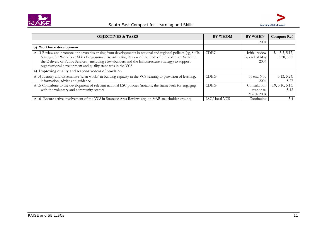

| <b>OBJECTIVES &amp; TASKS</b>                                                                                                                                                                                                                                                                                                                                                                  | <b>BY WHOM</b> | <b>BY WHEN</b>                          | <b>Compact Ref</b>            |
|------------------------------------------------------------------------------------------------------------------------------------------------------------------------------------------------------------------------------------------------------------------------------------------------------------------------------------------------------------------------------------------------|----------------|-----------------------------------------|-------------------------------|
|                                                                                                                                                                                                                                                                                                                                                                                                |                | 2004                                    |                               |
| Workforce development<br>3)                                                                                                                                                                                                                                                                                                                                                                    |                |                                         |                               |
| A.13 Review and promote opportunities arising from developments in national and regional policies (eg, Skills<br>Strategy; SE Workforce Skills Programme; Cross-Cutting Review of the Role of the Voluntary Sector in<br>the Delivery of Public Services - including Futurebuilders and the Infrastructure Strategy) to support<br>organisational development and quality standards in the VCS | <b>CDEG</b>    | Initial review<br>by end of May<br>2004 | 5.1, 5.3, 5.17,<br>5.20, 5.21 |
| 4) Improving quality and responsiveness of provision                                                                                                                                                                                                                                                                                                                                           |                |                                         |                               |
| A.14 Identify and disseminate 'what works' in building capacity in the VCS relating to provision of learning,<br>information, advice and guidance                                                                                                                                                                                                                                              | <b>CDEG</b>    | by end Nov<br>2004                      | 5.13, 5.24,<br>5.27           |
| A.15 Contribute to the development of relevant national LSC policies (notably, the framework for engaging<br>with the voluntary and community sector)                                                                                                                                                                                                                                          | <b>CDEG</b>    | Consultation<br>response:<br>March 2004 | 5.9, 5.10, 5.13,<br>5.12      |
| A.16 Ensure active involvement of the VCS in Strategic Area Reviews (eg, on StAR stakeholder groups)                                                                                                                                                                                                                                                                                           | LSC/local VCS  | Continuing                              | 5.4                           |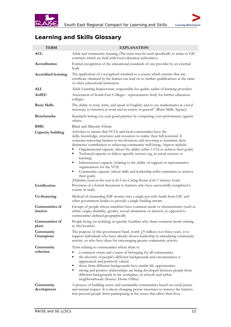



# **Learning and Skills Glossary**

| <b>TERM</b>                       | <b>EXPLANATION</b>                                                                                                                                                                                                                                                                                                                                                                                                                                                                                                                                                                                                                                                                                                                                                                                             |
|-----------------------------------|----------------------------------------------------------------------------------------------------------------------------------------------------------------------------------------------------------------------------------------------------------------------------------------------------------------------------------------------------------------------------------------------------------------------------------------------------------------------------------------------------------------------------------------------------------------------------------------------------------------------------------------------------------------------------------------------------------------------------------------------------------------------------------------------------------------|
| ACL                               | Adult and community learning (The term may be used specifically to relate to LSC<br>contracts which are held with local education authorities.)                                                                                                                                                                                                                                                                                                                                                                                                                                                                                                                                                                                                                                                                |
| Accreditation                     | Formal recognition of the educational standards of one provider by an external<br>body                                                                                                                                                                                                                                                                                                                                                                                                                                                                                                                                                                                                                                                                                                                         |
| <b>Accredited learning</b>        | The application of a recognised standard to a course which ensures that any<br>certificate obtained by the learner can lead on to further qualifications at the same<br>or other educational institution.                                                                                                                                                                                                                                                                                                                                                                                                                                                                                                                                                                                                      |
| ALI                               | Adult Learning Inspectorate, responsible for quality audits of learning providers                                                                                                                                                                                                                                                                                                                                                                                                                                                                                                                                                                                                                                                                                                                              |
| AoSEC                             | Association of South East Colleges - representative body for further education<br>colleges                                                                                                                                                                                                                                                                                                                                                                                                                                                                                                                                                                                                                                                                                                                     |
| <b>Basic Skills</b>               | The ability to read, write, and speak in English, and to use mathematics at a level<br>necessary to function at work and in society in general" (Basic Skills Agency)                                                                                                                                                                                                                                                                                                                                                                                                                                                                                                                                                                                                                                          |
| <b>Benchmarks</b>                 | Standards letting you seek good practice by comparing your performance against<br>others.                                                                                                                                                                                                                                                                                                                                                                                                                                                                                                                                                                                                                                                                                                                      |
| BME                               | Black and Minority Ethnic                                                                                                                                                                                                                                                                                                                                                                                                                                                                                                                                                                                                                                                                                                                                                                                      |
| Capacity building                 | Activities to ensure that VCOs and local communities have the<br>skills, knowledge, structures and resources to realise their full potential. It<br>concerns removing barriers to involvement; and investing to maximise their<br>distinctive contribution to achieving community well-being. Aspects include:<br>Organisational capacity (about the ability <i>within VCOs</i> to achieve their goals)<br>Technical capacity to deliver specific services (eg, in social services or<br>learning)<br>Infrastructure capacity (relating to the ability of support or representative<br>organisations for the VCS)<br>Community capacity (about skills and leadership within communities to achieve<br>٠<br>their goals)<br>(Definition based on that used in the Cross-Cutting Review of the Voluntary Sector) |
| Certification                     | Provision of a formal document to learners who have successfully completed a<br>course of study                                                                                                                                                                                                                                                                                                                                                                                                                                                                                                                                                                                                                                                                                                                |
| Co-financing                      | Method of channeling ESF monies into a single pot with funds from LSC and<br>other government bodies to provide a single funding stream                                                                                                                                                                                                                                                                                                                                                                                                                                                                                                                                                                                                                                                                        |
| <b>Communities of</b><br>interest | Groups of people whose members have common needs or characteristics (such as<br>ethnic origin, disability, gender, sexual orientation or interest) as opposed to<br>communities defined geographically                                                                                                                                                                                                                                                                                                                                                                                                                                                                                                                                                                                                         |
| Communities of<br>place           | People living (or working) in specific localities who share common needs relating<br>to this location                                                                                                                                                                                                                                                                                                                                                                                                                                                                                                                                                                                                                                                                                                          |
| Community<br>Champions            | The purpose of this government fund, worth $f_2$ million over three years, is to<br>support individuals who have already shown leadership in stimulating community<br>activity, or who have ideas for encouraging greater community activity.                                                                                                                                                                                                                                                                                                                                                                                                                                                                                                                                                                  |
| Community<br>cohesion             | Term relating to communities where there is:<br>a common vision and a sense of belonging for all communities<br>the diversity of people's different backgrounds and circumstances is<br>п<br>appreciated and positively valued<br>those from different backgrounds have similar life opportunities<br>п<br>strong and positive relationships are being developed between people from<br>٠<br>different backgrounds in the workplace, in schools and within<br>neighbourhoods (Source: Home Office)                                                                                                                                                                                                                                                                                                             |
| Community<br>development          | A process of building active and sustainable communities based on social justice<br>and mutual respect. It is about changing power structures to remove the barriers<br>that prevent people from participating in the issues that affect their lives -                                                                                                                                                                                                                                                                                                                                                                                                                                                                                                                                                         |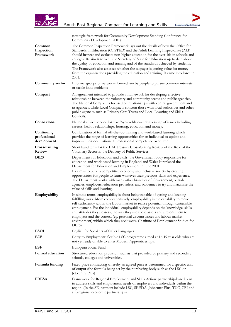



|                                           | (strategic framework for Community Development Standing Conference for<br>Community Development 2001).                                                                                                                                                                                                                                                                                                                                                                                                                                                                                              |
|-------------------------------------------|-----------------------------------------------------------------------------------------------------------------------------------------------------------------------------------------------------------------------------------------------------------------------------------------------------------------------------------------------------------------------------------------------------------------------------------------------------------------------------------------------------------------------------------------------------------------------------------------------------|
| Common<br>Inspection<br>Framework         | The Common Inspection Framework lays out the details of how the Office for<br>Standards in Education (OFSTED) and the Adult Learning Inspectorate (ALI)<br>should inspect and evaluate non-higher education for the over 16s in schools and<br>colleges. Its aim is to keep the Secretary of State for Education up to date about<br>the quality of education and training and of the standards achieved by students.<br>The Framework also assesses whether the taxpayer is getting value for money<br>from the organisations providing the education and training. It came into force in<br>2001. |
| Community sector                          | Informal groups or networks formed run by people to pursue common interests<br>or tackle joint problems                                                                                                                                                                                                                                                                                                                                                                                                                                                                                             |
| Compact                                   | An agreement intended to provide a framework for developing effective<br>relationships between the voluntary and community sector and public agencies.<br>The National Compact is focused on relationships with central government and<br>its agencies, while Local Compacts concern those with local authorities and other<br>public agencies such as Primary Care Trusts and Local Learning and Skills<br>Councils.                                                                                                                                                                               |
| Connexions                                | National advice service for 13-19-year-olds covering a range of issues including<br>careers, health, relationships, housing, education and money.                                                                                                                                                                                                                                                                                                                                                                                                                                                   |
| Continuing<br>professional<br>development | Combination of formal off-the-job training and work-based learning which<br>provides the range of learning opportunities for an individual to update and<br>improve their occupational/ professional competence over time                                                                                                                                                                                                                                                                                                                                                                           |
| <b>Cross-Cutting</b><br>Review            | Short hand term for the HM Treasury Cross-Cutting Review of the Role of the<br>Voluntary Sector in the Delivery of Public Services.                                                                                                                                                                                                                                                                                                                                                                                                                                                                 |
| <b>DfES</b>                               | Department for Education and Skills: the Government body responsible for<br>education and work based learning in England and Wales It replaced the<br>Department for Education and Employment in June 2001.<br>Its aim is to build a competitive economy and inclusive society by creating<br>opportunities for people to learn whatever their previous skills and experience.<br>The Department works with many other branches of Government, outside<br>agencies, employers, education providers, and academics to try and maximise the<br>value of skills and learning.                          |
| Employability                             | In simple terms, employability is about being capable of getting and keeping<br>fulfilling work. More comprehensively, employability is the capability to move<br>self-sufficiently within the labour market to realise potential through sustainable<br>employment. For the individual, employability depends on the knowledge, skills<br>and attitudes they possess, the way they use those assets and present them to<br>employers and the context (eg, personal circumstances and labour market<br>environment) within which they seek work. (Institute of Employment Studies for<br>DfES)      |
| <b>ESOL</b>                               | English for Speakers of Other Languages                                                                                                                                                                                                                                                                                                                                                                                                                                                                                                                                                             |
| E2E                                       | Entry to Employment: flexible LSC programme aimed at 16-19 year olds who are<br>not yet ready or able to enter Modern Apprenticeships.                                                                                                                                                                                                                                                                                                                                                                                                                                                              |
| <b>ESF</b>                                | European Social Fund                                                                                                                                                                                                                                                                                                                                                                                                                                                                                                                                                                                |
| Formal education                          | Structured education provision such as that provided by primary and secondary<br>schools, colleges and universities.                                                                                                                                                                                                                                                                                                                                                                                                                                                                                |
| Formula funding                           | Fixed-price contracting whereby an agreed price is determined for a specific unit<br>of output (the formula being set by the purchasing body such as the LSC or<br>Jobcentre Plus)                                                                                                                                                                                                                                                                                                                                                                                                                  |
| <b>FRESA</b>                              | Framework for Regional Employment and Skills Action: partnership-based plan<br>to address skills and employment needs of employers and individuals within the<br>region. (In the SE, partners include LSC, SEEDA, Jobcentre Plus, TUC, CBI and<br>sub-regional economic partnerships)                                                                                                                                                                                                                                                                                                               |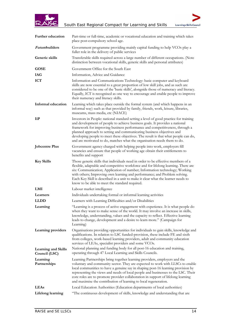



| Further education                           | Part-time or full-time, academic or vocational education and training which takes<br>place post-compulsory school age.                                                                                                                                                                                                                                                                                                                                                                        |
|---------------------------------------------|-----------------------------------------------------------------------------------------------------------------------------------------------------------------------------------------------------------------------------------------------------------------------------------------------------------------------------------------------------------------------------------------------------------------------------------------------------------------------------------------------|
| <i>Futurebuilders</i>                       | Government programme providing mainly capital funding to help VCOs play a<br>fuller role in the delivery of public services                                                                                                                                                                                                                                                                                                                                                                   |
| Generic skills                              | Transferable skills required across a large number of different occupations. (Note<br>distinction between vocational skills, generic skills and personal attributes)                                                                                                                                                                                                                                                                                                                          |
| <b>GOSE</b>                                 | Government Office for the South East                                                                                                                                                                                                                                                                                                                                                                                                                                                          |
| IAG                                         | Information, Advice and Guidance                                                                                                                                                                                                                                                                                                                                                                                                                                                              |
| <b>ICT</b>                                  | Information and Communications Technology: basic computer and keyboard<br>skills are now essential to a great proportion of low skill jobs, and as such are<br>considered to be one of the 'basic skills', alongside those of numeracy and literacy.<br>Equally, ICT is recognised as one way to encourage and enable people to improve<br>their numeracy and literacy skills.                                                                                                                |
| <b>Informal education</b>                   | Learning which takes place outside the formal system (and which happens in an<br>informal way) such as that provided by family, friends, work, leisure, libraries,<br>museums, mass media, etc (NIACE)                                                                                                                                                                                                                                                                                        |
| <b>liP</b>                                  | Investors in People: national standard setting a level of good practice for training<br>and development of people to achieve business goals. It provides a national<br>framework for improving business performance and competitiveness, through a<br>planned approach to setting and communicating business objectives and<br>developing people to meet these objectives. The result is that what people can do,<br>and are motivated to do, matches what the organisation needs them to do. |
| <b>Jobcentre Plus</b>                       | Government agency charged with helping people into work, employers fill<br>vacancies and ensure that people of working age obtain their entitlements to<br>benefits and support                                                                                                                                                                                                                                                                                                               |
| <b>Key Skills</b>                           | Those generic skills that individuals need in order to be effective members of a<br>flexible, adaptable and competitive workforce and for lifelong learning. There are<br>six: Communication; Application of number; Information technology; Working<br>with others; Improving own learning and performance; and Problem solving.<br>Each Key Skill is described in a unit to make it clear what the learner needs to<br>know to be able to meet the standard required.                       |
| LMI                                         | Labour market intelligence                                                                                                                                                                                                                                                                                                                                                                                                                                                                    |
| Learners                                    | Individuals undertaking formal or informal learning activities                                                                                                                                                                                                                                                                                                                                                                                                                                |
| <b>LLDD</b>                                 | Learners with Learning Difficulties and/or Disabilities                                                                                                                                                                                                                                                                                                                                                                                                                                       |
| Learning                                    | "Learning is a process of active engagement with experience. It is what people do<br>when they want to make sense of the world. It may involve an increase in skills,<br>knowledge, understanding, values and the capacity to reflect. Effective learning<br>leads to change, development and a desire to learn more." (Campaign for<br>Learning)                                                                                                                                             |
| Learning providers                          | Organisations providing opportunities for individuals to gain skills, knowledge and<br>qualifications. In relation to LSC funded-provision, these include FE and sixth<br>from colleges, work-based learning providers, adult and community education<br>services of LEAs, specialist providers and some VCOs.                                                                                                                                                                                |
| <b>Learning and Skills</b><br>Council (LSC) | National planning and funding body for all post-16 education and training,<br>operating through 47 Local Learning and Skills Councils.                                                                                                                                                                                                                                                                                                                                                        |
| Learning<br>Partnerships                    | Learning Partnerships bring together learning providers, employers and the<br>voluntary and community sector. They are expected to work with LLSCs to enable<br>local communities to have a genuine say in shaping post-16 learning provision by<br>representing the views and needs of local people and businesses to the LSC. Their<br>core roles are to promote provider collaboration in support of lifelong learning<br>and maximise the contribution of learning to local regeneration. |
| <b>LEAs</b>                                 | Local Education Authorities (Education departments of local authorities)                                                                                                                                                                                                                                                                                                                                                                                                                      |
| Lifelong learning                           | "The continuous development of skills, knowledge and understanding that are                                                                                                                                                                                                                                                                                                                                                                                                                   |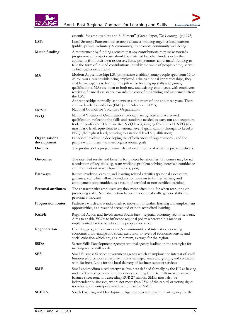



|                               | essential for employability and fulfillment" (Green Paper, The Learning Age, 1998)                                                                                                                                                                                                                                                                                                                                                                                                                                     |
|-------------------------------|------------------------------------------------------------------------------------------------------------------------------------------------------------------------------------------------------------------------------------------------------------------------------------------------------------------------------------------------------------------------------------------------------------------------------------------------------------------------------------------------------------------------|
| LSPs                          | Local Strategic Partnerships: strategic alliances bringing together local partners<br>(public, private, voluntary & community) to promote community well-being                                                                                                                                                                                                                                                                                                                                                         |
| Match funding                 | A requirement by funding agencies that any contributions they make towards<br>programme or project costs should be matched by other funders or by the<br>applicants from their own resources. Some programmes allow match funding to<br>take the form of in-kind contributions (notably the value of people's time) as well<br>as financial contributions.                                                                                                                                                             |
| MA                            | Modern Apprenticeship: LSC programme enabling young people aged from 16 to<br>24 to learn a career while being employed. Like traditional apprenticeships, they<br>enable participants to learn on the job while building up skills and gaining<br>qualifications. MAs are open to both new and existing employees, with employers<br>receiving financial assistance towards the cost of the training and assessment from<br>the LSC.<br>Apprenticeships normally last between a minimum of one and three years. There |
| <b>NCVO</b>                   | are two levels: Foundation (FMA) and Advanced (AMA).<br>National Council for Voluntary Organisation                                                                                                                                                                                                                                                                                                                                                                                                                    |
| <b>NVQ</b>                    | National Vocational Qualification: nationally recognised and accredited<br>qualification, reflecting the skills and standards needed to carry out an occupation,<br>trade or profession. There are five NVQ levels, ranging from Level 1 NVQ (the<br>most basic level, equivalent to a national level 1 qualification) through to Level 5<br>NVQ (the highest level, equating to a national level 5 qualification).                                                                                                    |
| Organisational<br>development | Processes involved in developing the effectiveness of organisations - and the<br>people within them - to meet organisational goals                                                                                                                                                                                                                                                                                                                                                                                     |
| Outputs                       | The products of a project, narrowly defined in terms of what the project delivers.                                                                                                                                                                                                                                                                                                                                                                                                                                     |
| <b>Outcomes</b>               | The intended results and benefits for project beneficiaries. Outcomes may be soft<br>(acquisition of key skills, eg, team working, problem solving; increased confidence<br>and motivation) or <i>hard</i> (qualifications, jobs).                                                                                                                                                                                                                                                                                     |
| Pathways                      | Routes involving learning and learning-related activities (personal assessment,<br>guidance, etc) which allow individuals to move on to further learning and<br>employment opportunities, as a result of certified or non-certified learning.                                                                                                                                                                                                                                                                          |
| <b>Personal attributes</b>    | The characteristics employers say they most often look for when recruiting or<br>promoting staff. (Note distinction between vocational skills, generic skills and<br>personal attributes)                                                                                                                                                                                                                                                                                                                              |
| Progression routes            | Pathways which allow individuals to move on to further learning and employment<br>opportunities, as a result of accredited or non-accredited learning.                                                                                                                                                                                                                                                                                                                                                                 |
| <b>RAISE</b>                  | Regional Action and Involvement South East - regional voluntary sector network.<br>Aims to enable VCOs to influence regional policy wherever it is made or<br>implemented for the benefit of the people they serve.                                                                                                                                                                                                                                                                                                    |
| Regeneration                  | Uplifting geographical areas and/or communities of interest experiencing<br>economic disadvantage and social exclusion, to levels of economic activity and<br>social cohesion which are, as a minimum, average for the region.                                                                                                                                                                                                                                                                                         |
| <b>SSDA</b>                   | Sector Skills Development Agency: national agency leading on the strategies for<br>meeting sector skill needs                                                                                                                                                                                                                                                                                                                                                                                                          |
| <b>SBS</b>                    | Small Business Service: government agency which champions the interest of small<br>businesses, promotes enterprise in disadvantaged areas and groups, and contracts<br>with Business Links for the local delivery of business support services.                                                                                                                                                                                                                                                                        |
| SME                           | Small and medium-sized enterprise: business defined formally by the EU as having<br>under 250 employees and turnover not exceeding EUR 40 million or an annual<br>balance sheet total not exceeding EUR 27 million. SMEs must also be<br>independent businesses, where not more than 25% of the capital or voting rights<br>is owned by an enterprise which is not itself an SME.                                                                                                                                      |
| <b>SEEDA</b>                  | South East England Development Agency: regional development agency for the                                                                                                                                                                                                                                                                                                                                                                                                                                             |